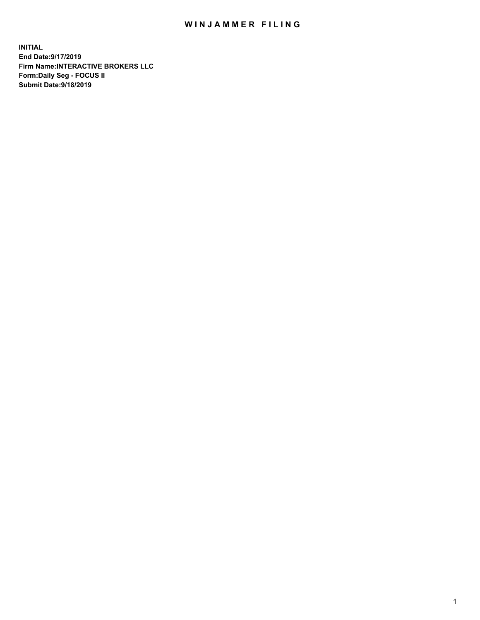## WIN JAMMER FILING

**INITIAL End Date:9/17/2019 Firm Name:INTERACTIVE BROKERS LLC Form:Daily Seg - FOCUS II Submit Date:9/18/2019**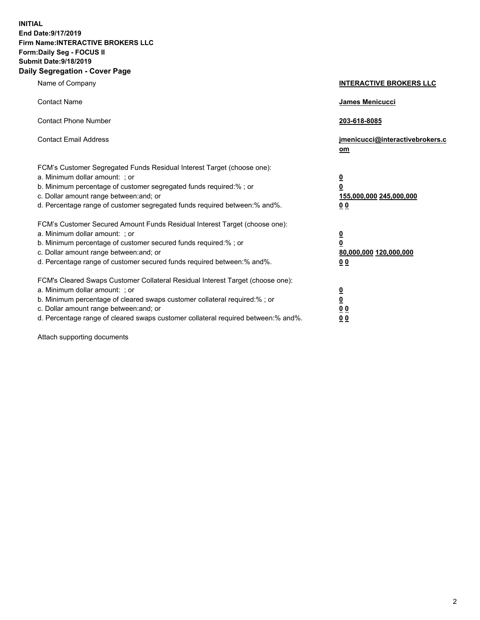**INITIAL End Date:9/17/2019 Firm Name:INTERACTIVE BROKERS LLC Form:Daily Seg - FOCUS II Submit Date:9/18/2019 Daily Segregation - Cover Page**

| Name of Company                                                                                                                                                                                                                                                                                                                | <b>INTERACTIVE BROKERS LLC</b>                                                                  |
|--------------------------------------------------------------------------------------------------------------------------------------------------------------------------------------------------------------------------------------------------------------------------------------------------------------------------------|-------------------------------------------------------------------------------------------------|
| <b>Contact Name</b>                                                                                                                                                                                                                                                                                                            | James Menicucci                                                                                 |
| <b>Contact Phone Number</b>                                                                                                                                                                                                                                                                                                    | 203-618-8085                                                                                    |
| <b>Contact Email Address</b>                                                                                                                                                                                                                                                                                                   | jmenicucci@interactivebrokers.c<br>om                                                           |
| FCM's Customer Segregated Funds Residual Interest Target (choose one):<br>a. Minimum dollar amount: ; or<br>b. Minimum percentage of customer segregated funds required:% ; or<br>c. Dollar amount range between: and; or<br>d. Percentage range of customer segregated funds required between:% and%.                         | $\overline{\mathbf{0}}$<br>$\overline{\mathbf{0}}$<br>155,000,000 245,000,000<br>0 <sub>0</sub> |
| FCM's Customer Secured Amount Funds Residual Interest Target (choose one):<br>a. Minimum dollar amount: ; or<br>b. Minimum percentage of customer secured funds required:% ; or<br>c. Dollar amount range between: and; or<br>d. Percentage range of customer secured funds required between:% and%.                           | $\overline{\mathbf{0}}$<br>0<br>80,000,000 120,000,000<br>0 <sub>0</sub>                        |
| FCM's Cleared Swaps Customer Collateral Residual Interest Target (choose one):<br>a. Minimum dollar amount: ; or<br>b. Minimum percentage of cleared swaps customer collateral required:% ; or<br>c. Dollar amount range between: and; or<br>d. Percentage range of cleared swaps customer collateral required between:% and%. | $\overline{\mathbf{0}}$<br><u>0</u><br>$\underline{0}$ $\underline{0}$<br>00                    |

Attach supporting documents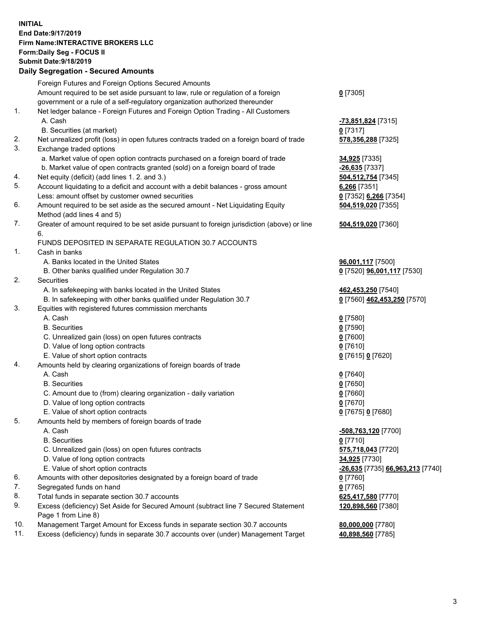## **INITIAL End Date:9/17/2019 Firm Name:INTERACTIVE BROKERS LLC Form:Daily Seg - FOCUS II Submit Date:9/18/2019 Daily Segregation - Secured Amounts**

|     | Daily Segregation - Secured Amounts                                                         |                                   |
|-----|---------------------------------------------------------------------------------------------|-----------------------------------|
|     | Foreign Futures and Foreign Options Secured Amounts                                         |                                   |
|     | Amount required to be set aside pursuant to law, rule or regulation of a foreign            | $0$ [7305]                        |
|     | government or a rule of a self-regulatory organization authorized thereunder                |                                   |
| 1.  | Net ledger balance - Foreign Futures and Foreign Option Trading - All Customers             |                                   |
|     | A. Cash                                                                                     | -73,851,824 [7315]                |
|     | B. Securities (at market)                                                                   | $0$ [7317]                        |
| 2.  | Net unrealized profit (loss) in open futures contracts traded on a foreign board of trade   | 578,356,288 [7325]                |
| 3.  | Exchange traded options                                                                     |                                   |
|     | a. Market value of open option contracts purchased on a foreign board of trade              | 34,925 [7335]                     |
|     | b. Market value of open contracts granted (sold) on a foreign board of trade                | $-26,635$ [7337]                  |
| 4.  | Net equity (deficit) (add lines 1.2. and 3.)                                                | 504,512,754 [7345]                |
| 5.  | Account liquidating to a deficit and account with a debit balances - gross amount           | 6,266 [7351]                      |
|     | Less: amount offset by customer owned securities                                            | 0 [7352] 6,266 [7354]             |
| 6.  | Amount required to be set aside as the secured amount - Net Liquidating Equity              | 504,519,020 [7355]                |
|     | Method (add lines 4 and 5)                                                                  |                                   |
| 7.  | Greater of amount required to be set aside pursuant to foreign jurisdiction (above) or line | 504,519,020 [7360]                |
|     | 6.                                                                                          |                                   |
|     | FUNDS DEPOSITED IN SEPARATE REGULATION 30.7 ACCOUNTS                                        |                                   |
| 1.  | Cash in banks                                                                               |                                   |
|     | A. Banks located in the United States                                                       | 96,001,117 [7500]                 |
|     | B. Other banks qualified under Regulation 30.7                                              | 0 [7520] <b>96,001,117</b> [7530] |
| 2.  | Securities                                                                                  |                                   |
|     | A. In safekeeping with banks located in the United States                                   | 462,453,250 [7540]                |
|     | B. In safekeeping with other banks qualified under Regulation 30.7                          | 0 [7560] 462,453,250 [7570]       |
| 3.  | Equities with registered futures commission merchants                                       |                                   |
|     | A. Cash                                                                                     | $0$ [7580]                        |
|     | <b>B.</b> Securities                                                                        | $0$ [7590]                        |
|     | C. Unrealized gain (loss) on open futures contracts                                         | $0$ [7600]                        |
|     | D. Value of long option contracts                                                           | $0$ [7610]                        |
|     | E. Value of short option contracts                                                          | 0 [7615] 0 [7620]                 |
| 4.  | Amounts held by clearing organizations of foreign boards of trade<br>A. Cash                |                                   |
|     | <b>B.</b> Securities                                                                        | $0$ [7640]                        |
|     | C. Amount due to (from) clearing organization - daily variation                             | $0$ [7650]<br>$0$ [7660]          |
|     | D. Value of long option contracts                                                           | $0$ [7670]                        |
|     | E. Value of short option contracts                                                          | 0 [7675] 0 [7680]                 |
| 5.  | Amounts held by members of foreign boards of trade                                          |                                   |
|     | A. Cash                                                                                     | -508,763,120 [7700]               |
|     | <b>B.</b> Securities                                                                        | $0$ [7710]                        |
|     | C. Unrealized gain (loss) on open futures contracts                                         | 575,718,043 [7720]                |
|     | D. Value of long option contracts                                                           | 34,925 [7730]                     |
|     | E. Value of short option contracts                                                          | -26,635 [7735] 66,963,213 [7740]  |
| 6.  | Amounts with other depositories designated by a foreign board of trade                      | 0 [7760]                          |
| 7.  | Segregated funds on hand                                                                    | $0$ [7765]                        |
| 8.  | Total funds in separate section 30.7 accounts                                               | 625,417,580 [7770]                |
| 9.  | Excess (deficiency) Set Aside for Secured Amount (subtract line 7 Secured Statement         | 120,898,560 [7380]                |
|     | Page 1 from Line 8)                                                                         |                                   |
| 10. | Management Target Amount for Excess funds in separate section 30.7 accounts                 | 80,000,000 [7780]                 |
| 11. | Excess (deficiency) funds in separate 30.7 accounts over (under) Management Target          | 40,898,560 [7785]                 |
|     |                                                                                             |                                   |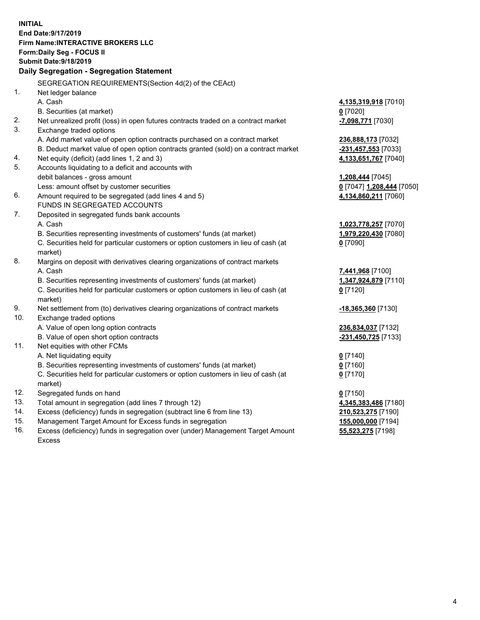**INITIAL End Date:9/17/2019 Firm Name:INTERACTIVE BROKERS LLC Form:Daily Seg - FOCUS II Submit Date:9/18/2019 Daily Segregation - Segregation Statement** SEGREGATION REQUIREMENTS(Section 4d(2) of the CEAct) 1. Net ledger balance A. Cash **4,135,319,918** [7010] B. Securities (at market) **0** [7020] 2. Net unrealized profit (loss) in open futures contracts traded on a contract market **-7,098,771** [7030] 3. Exchange traded options A. Add market value of open option contracts purchased on a contract market **236,888,173** [7032] B. Deduct market value of open option contracts granted (sold) on a contract market **-231,457,553** [7033] 4. Net equity (deficit) (add lines 1, 2 and 3) **4,133,651,767** [7040] 5. Accounts liquidating to a deficit and accounts with debit balances - gross amount **1,208,444** [7045] Less: amount offset by customer securities **0** [7047] **1,208,444** [7050] 6. Amount required to be segregated (add lines 4 and 5) **4,134,860,211** [7060] FUNDS IN SEGREGATED ACCOUNTS 7. Deposited in segregated funds bank accounts A. Cash **1,023,778,257** [7070] B. Securities representing investments of customers' funds (at market) **1,979,220,430** [7080] C. Securities held for particular customers or option customers in lieu of cash (at market) **0** [7090] 8. Margins on deposit with derivatives clearing organizations of contract markets A. Cash **7,441,968** [7100] B. Securities representing investments of customers' funds (at market) **1,347,924,879** [7110] C. Securities held for particular customers or option customers in lieu of cash (at market) **0** [7120] 9. Net settlement from (to) derivatives clearing organizations of contract markets **-18,365,360** [7130] 10. Exchange traded options A. Value of open long option contracts **236,834,037** [7132] B. Value of open short option contracts **-231,450,725** [7133] 11. Net equities with other FCMs A. Net liquidating equity **0** [7140] B. Securities representing investments of customers' funds (at market) **0** [7160] C. Securities held for particular customers or option customers in lieu of cash (at market) **0** [7170] 12. Segregated funds on hand **0** [7150] 13. Total amount in segregation (add lines 7 through 12) **4,345,383,486** [7180] 14. Excess (deficiency) funds in segregation (subtract line 6 from line 13) **210,523,275** [7190] 15. Management Target Amount for Excess funds in segregation **155,000,000** [7194] **55,523,275** [7198]

16. Excess (deficiency) funds in segregation over (under) Management Target Amount Excess